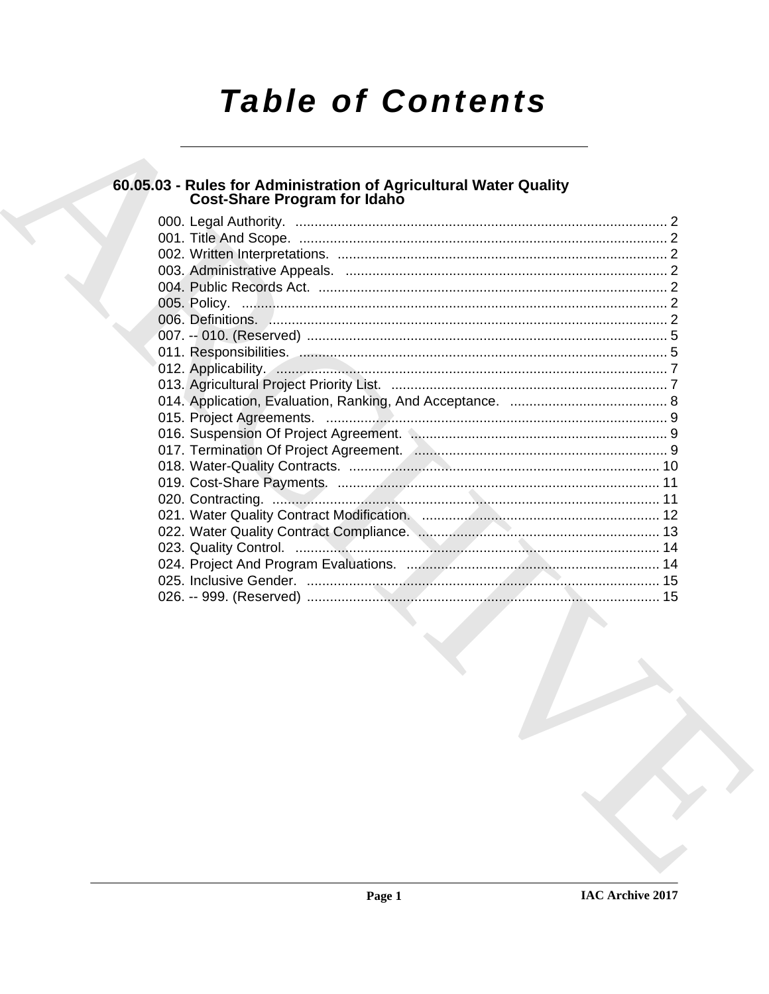# **Table of Contents**

# 60.05.03 - Rules for Administration of Agricultural Water Quality<br>Cost-Share Program for Idaho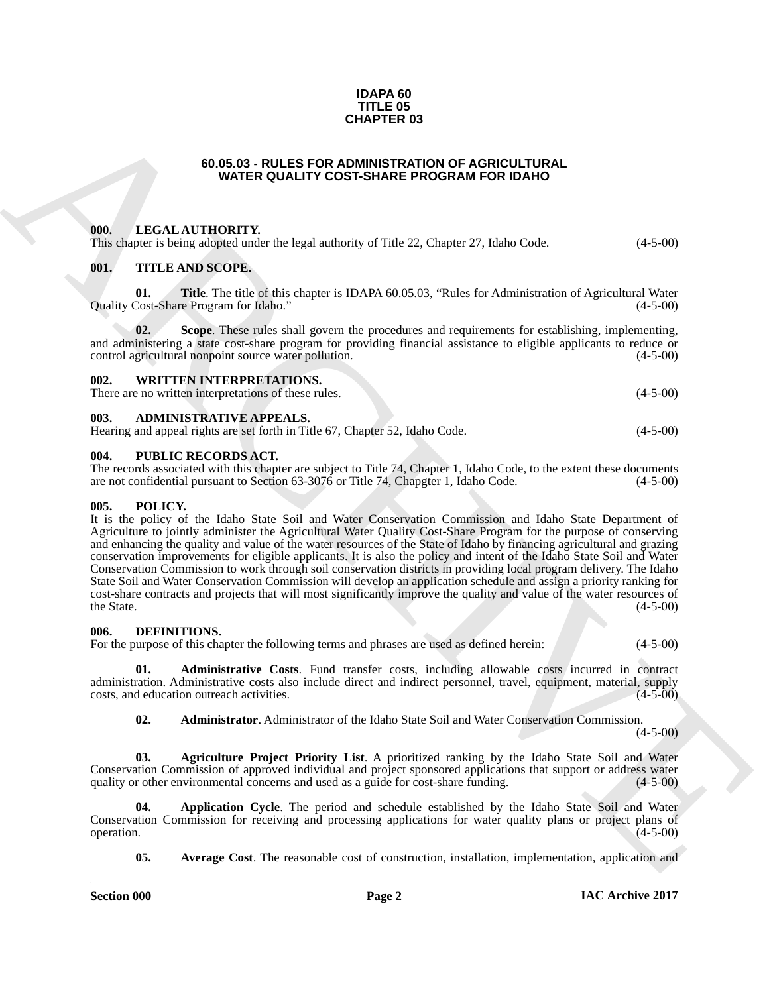#### **IDAPA 60 TITLE 05 CHAPTER 03**

#### **60.05.03 - RULES FOR ADMINISTRATION OF AGRICULTURAL WATER QUALITY COST-SHARE PROGRAM FOR IDAHO**

#### <span id="page-1-1"></span><span id="page-1-0"></span>**000. LEGAL AUTHORITY.**

This chapter is being adopted under the legal authority of Title 22, Chapter 27, Idaho Code.  $(4-5-00)$ 

#### <span id="page-1-2"></span>**001. TITLE AND SCOPE.**

**01.** Title. The title of this chapter is IDAPA 60.05.03, "Rules for Administration of Agricultural Water Cost-Share Program for Idaho." (4-5-00) Quality Cost-Share Program for Idaho."

**02. Scope**. These rules shall govern the procedures and requirements for establishing, implementing, and administering a state cost-share program for providing financial assistance to eligible applicants to reduce or control agricultural nonpoint source water pollution. (4-5-00)

#### <span id="page-1-3"></span>**002. WRITTEN INTERPRETATIONS.**

There are no written interpretations of these rules. (4-5-00)

#### <span id="page-1-4"></span>**003. ADMINISTRATIVE APPEALS.**

| Hearing and appeal rights are set forth in Title 67, Chapter 52, Idaho Code.<br>$(4-5-00)$ |  |  |  |  |
|--------------------------------------------------------------------------------------------|--|--|--|--|
|--------------------------------------------------------------------------------------------|--|--|--|--|

## <span id="page-1-5"></span>**004. PUBLIC RECORDS ACT.**

The records associated with this chapter are subject to Title 74, Chapter 1, Idaho Code, to the extent these documents are not confidential pursuant to Section 63-3076 or Title 74, Chapgter 1, Idaho Code. (4-5-00) are not confidential pursuant to Section 63-3076 or Title 74, Chapgter 1, Idaho Code.

#### <span id="page-1-14"></span><span id="page-1-6"></span>**005. POLICY.**

**CHAPTER 03**<br> **CHAPTER ON WATER OUALITY COST-BRIGGER FROGUEUUM ALL<br>
WATER OUALITY COST-BRIGGER FROGUEUM ALL<br>
THE VALUE CHAPTER CHAPTER CHAPTER CHAPTER AND RESPONSE TRANSPORT (1) (4-5-00)<br>
(f), THIS ANSISTOPHY,<br>
(g), Consi** It is the policy of the Idaho State Soil and Water Conservation Commission and Idaho State Department of Agriculture to jointly administer the Agricultural Water Quality Cost-Share Program for the purpose of conserving and enhancing the quality and value of the water resources of the State of Idaho by financing agricultural and grazing conservation improvements for eligible applicants. It is also the policy and intent of the Idaho State Soil and Water Conservation Commission to work through soil conservation districts in providing local program delivery. The Idaho State Soil and Water Conservation Commission will develop an application schedule and assign a priority ranking for cost-share contracts and projects that will most significantly improve the quality and value of the water resources of the State.  $(4-5-00)$ 

#### <span id="page-1-8"></span><span id="page-1-7"></span>**006. DEFINITIONS.**

For the purpose of this chapter the following terms and phrases are used as defined herein: (4-5-00)

**01. Administrative Costs**. Fund transfer costs, including allowable costs incurred in contract administration. Administrative costs also include direct and indirect personnel, travel, equipment, material, supply costs, and education outreach activities. (4-5-00)

<span id="page-1-11"></span><span id="page-1-10"></span><span id="page-1-9"></span>**02. Administrator**. Administrator of the Idaho State Soil and Water Conservation Commission.

 $(4-5-00)$ 

**03. Agriculture Project Priority List**. A prioritized ranking by the Idaho State Soil and Water Conservation Commission of approved individual and project sponsored applications that support or address water quality or other environmental concerns and used as a guide for cost-share funding. (4-5-00)

**04. Application Cycle**. The period and schedule established by the Idaho State Soil and Water Conservation Commission for receiving and processing applications for water quality plans or project plans of  $\omega$  operation.  $(4-5-00)$ 

<span id="page-1-13"></span><span id="page-1-12"></span>**05. Average Cost**. The reasonable cost of construction, installation, implementation, application and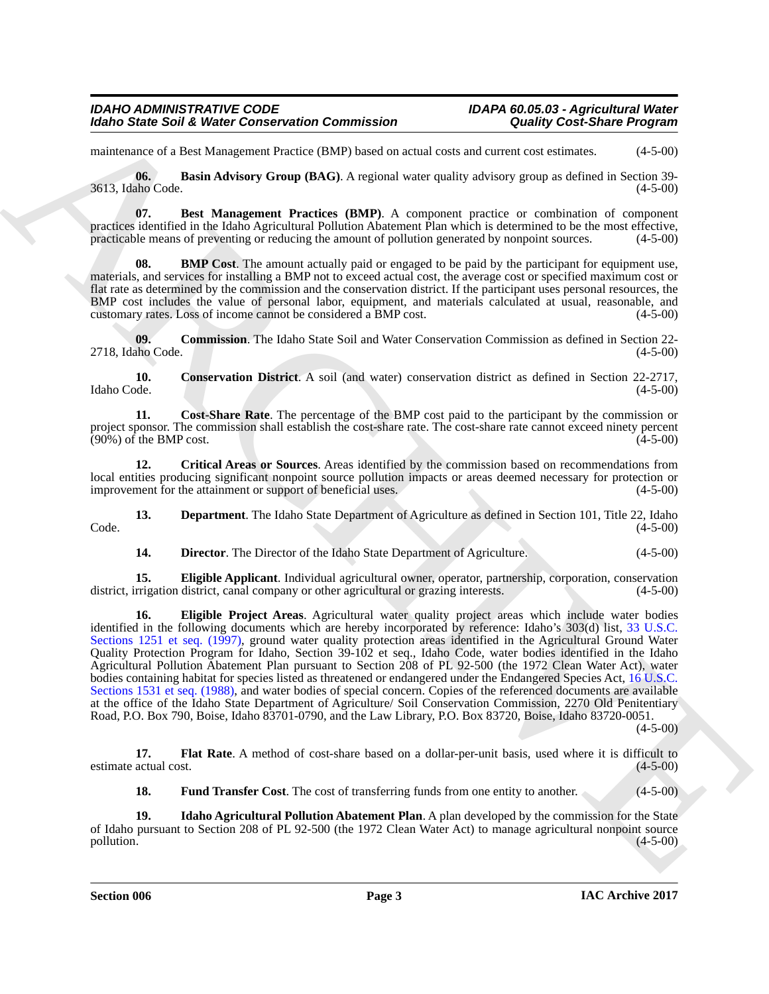maintenance of a Best Management Practice (BMP) based on actual costs and current cost estimates. (4-5-00)

<span id="page-2-0"></span>**06. Basin Advisory Group (BAG)**. A regional water quality advisory group as defined in Section 39- 3613, Idaho Code. (4-5-00)

<span id="page-2-1"></span>**07. Best Management Practices (BMP)**. A component practice or combination of component practices identified in the Idaho Agricultural Pollution Abatement Plan which is determined to be the most effective, practicable means of preventing or reducing the amount of pollution generated by nonpoint sources. (4-5-00)

<span id="page-2-2"></span>**BMP Cost.** The amount actually paid or engaged to be paid by the participant for equipment use, materials, and services for installing a BMP not to exceed actual cost, the average cost or specified maximum cost or flat rate as determined by the commission and the conservation district. If the participant uses personal resources, the BMP cost includes the value of personal labor, equipment, and materials calculated at usual, reasonable, and customary rates. Loss of income cannot be considered a BMP cost. (4-5-00)

<span id="page-2-3"></span>**09. Commission**. The Idaho State Soil and Water Conservation Commission as defined in Section 22- 2718, Idaho Code.

<span id="page-2-4"></span>**10. Conservation District**. A soil (and water) conservation district as defined in Section 22-2717, Idaho Code. (4-5-00) Idaho Code. (4-5-00)

<span id="page-2-5"></span>**11. Cost-Share Rate**. The percentage of the BMP cost paid to the participant by the commission or project sponsor. The commission shall establish the cost-share rate. The cost-share rate cannot exceed ninety percent  $(90\%)$  of the BMP cost.  $(4-5-00)$ 

<span id="page-2-6"></span>**12. Critical Areas or Sources**. Areas identified by the commission based on recommendations from local entities producing significant nonpoint source pollution impacts or areas deemed necessary for protection or improvement for the attainment or support of beneficial uses. (4-5-00) improvement for the attainment or support of beneficial uses.

**13. Department**. The Idaho State Department of Agriculture as defined in Section 101, Title 22, Idaho (4-5-00)  $\text{Code.}$  (4-5-00)

<span id="page-2-10"></span><span id="page-2-9"></span><span id="page-2-8"></span><span id="page-2-7"></span>**14. Director**. The Director of the Idaho State Department of Agriculture. (4-5-00)

**15. Eligible Applicant**. Individual agricultural owner, operator, partnership, corporation, conservation district, irrigation district, canal company or other agricultural or grazing interests. (4-5-00)

ARCHI[V](http://www4.law.cornell.edu/uscode/33/1251.html)E **16. Eligible Project Areas**. Agricultural water quality project areas which include water bodies identified in the following documents which are hereby incorporated by reference: Idaho's 303(d) list, 33 U.S.C. Sections 1251 et seq. (1997), ground water quality protection areas identified in the Agricultural Ground Water Quality Protection Program for Idaho, Section 39-102 et seq., Idaho Code, water bodies identified in the Idaho Agricultural Pollution Abatement Plan pursuant to Section 208 of PL 92-500 (the 1972 Clean Water Act), water bodies containing habitat for species listed as threatened or endangered under the Endangered Species Act, 16 U.S.C. Sections 1531 et seq. (1988), and water bodies of special concern. Copies of the referenced documents are available at the office of the Idaho State Department of Agriculture/ Soil Conservation Commission, 2270 Old Penitentiary Road, P.O. Box 790, Boise, Idaho 83701-0790, and the Law Library, P.O. Box 83720, Boise, Idaho 83720-0051.

 $(4 - 5 - 00)$ 

**17. Flat Rate**. A method of cost-share based on a dollar-per-unit basis, used where it is difficult to actual cost. (4-5-00) estimate actual cost.

<span id="page-2-13"></span><span id="page-2-12"></span><span id="page-2-11"></span>**18. Fund Transfer Cost**. The cost of transferring funds from one entity to another. (4-5-00)

**19. Idaho Agricultural Pollution Abatement Plan**. A plan developed by the commission for the State of Idaho pursuant to Section 208 of PL 92-500 (the 1972 Clean Water Act) to manage agricultural nonpoint source pollution. (4-5-00)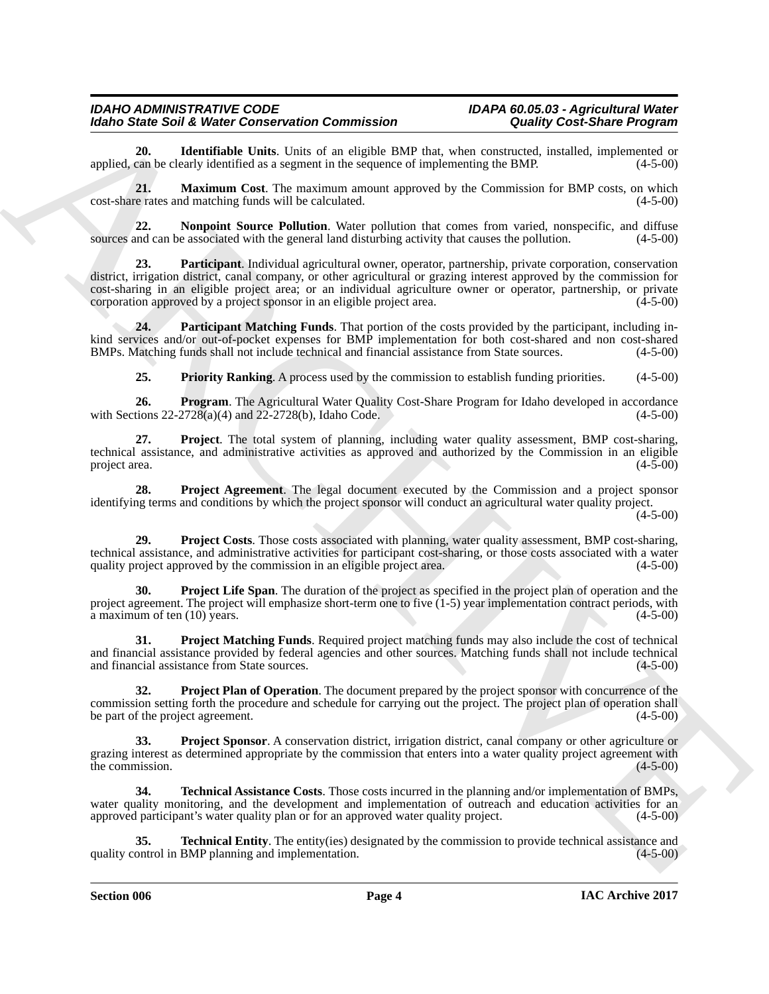<span id="page-3-0"></span>**20. Identifiable Units**. Units of an eligible BMP that, when constructed, installed, implemented or can be clearly identified as a segment in the sequence of implementing the BMP. (4-5-00) applied, can be clearly identified as a segment in the sequence of implementing the BMP.

<span id="page-3-1"></span>**21. Maximum Cost**. The maximum amount approved by the Commission for BMP costs, on which cost-share rates and matching funds will be calculated. (4-5-00)

<span id="page-3-3"></span><span id="page-3-2"></span>**22.** Nonpoint Source Pollution. Water pollution that comes from varied, nonspecific, and diffuse and can be associated with the general land disturbing activity that causes the pollution. (4-5-00) sources and can be associated with the general land disturbing activity that causes the pollution.

Model Sindic Sindic Weiser Center Generalisation (16 methods and the second of the second of the second of the second of the second of the second of the second of the second of the second of the second of the second of th **23. Participant**. Individual agricultural owner, operator, partnership, private corporation, conservation district, irrigation district, canal company, or other agricultural or grazing interest approved by the commission for cost-sharing in an eligible project area; or an individual agriculture owner or operator, partnership, or private corporation approved by a project sponsor in an eligible project area. (4-5-00) corporation approved by a project sponsor in an eligible project area.

**24. Participant Matching Funds**. That portion of the costs provided by the participant, including inkind services and/or out-of-pocket expenses for BMP implementation for both cost-shared and non cost-shared BMPs. Matching funds shall not include technical and financial assistance from State sources. (4-5-00) BMPs. Matching funds shall not include technical and financial assistance from State sources.

<span id="page-3-7"></span><span id="page-3-6"></span><span id="page-3-5"></span><span id="page-3-4"></span>**25. Priority Ranking**. A process used by the commission to establish funding priorities. (4-5-00)

**26. Program**. The Agricultural Water Quality Cost-Share Program for Idaho developed in accordance tions 22-2728(a)(4) and 22-2728(b). Idaho Code. (4-5-00) with Sections  $22-2728(a)(4)$  and  $22-2728(b)$ , Idaho Code.

**27. Project**. The total system of planning, including water quality assessment, BMP cost-sharing, technical assistance, and administrative activities as approved and authorized by the Commission in an eligible project area.  $(4-5-00)$ 

<span id="page-3-8"></span>**28. Project Agreement**. The legal document executed by the Commission and a project sponsor identifying terms and conditions by which the project sponsor will conduct an agricultural water quality project.

 $(4-5-00)$ 

<span id="page-3-9"></span>**29. Project Costs**. Those costs associated with planning, water quality assessment, BMP cost-sharing, technical assistance, and administrative activities for participant cost-sharing, or those costs associated with a water quality project approved by the commission in an eligible project area. (4-5-00)

<span id="page-3-10"></span>**30. Project Life Span**. The duration of the project as specified in the project plan of operation and the project agreement. The project will emphasize short-term one to five  $(1-5)$  year implementation contract periods, with  $\hat{a}$  maximum of ten (10) years. (4-5-00)

<span id="page-3-11"></span>**31. Project Matching Funds**. Required project matching funds may also include the cost of technical and financial assistance provided by federal agencies and other sources. Matching funds shall not include technical and financial assistance from State sources. and financial assistance from State sources.

<span id="page-3-12"></span>**32. Project Plan of Operation**. The document prepared by the project sponsor with concurrence of the commission setting forth the procedure and schedule for carrying out the project. The project plan of operation shall<br>(4-5-00) (4-5-00) be part of the project agreement.

<span id="page-3-13"></span>**Project Sponsor**. A conservation district, irrigation district, canal company or other agriculture or grazing interest as determined appropriate by the commission that enters into a water quality project agreement with the commission. (4-5-00) the commission.

<span id="page-3-14"></span>**34. Technical Assistance Costs**. Those costs incurred in the planning and/or implementation of BMPs, water quality monitoring, and the development and implementation of outreach and education activities for an approved participant's water quality plan or for an approved water quality project. (4-5-00)

<span id="page-3-15"></span>**Technical Entity**. The entity(ies) designated by the commission to provide technical assistance and BMP planning and implementation. (4-5-00) quality control in BMP planning and implementation.

**Section 006 Page 4**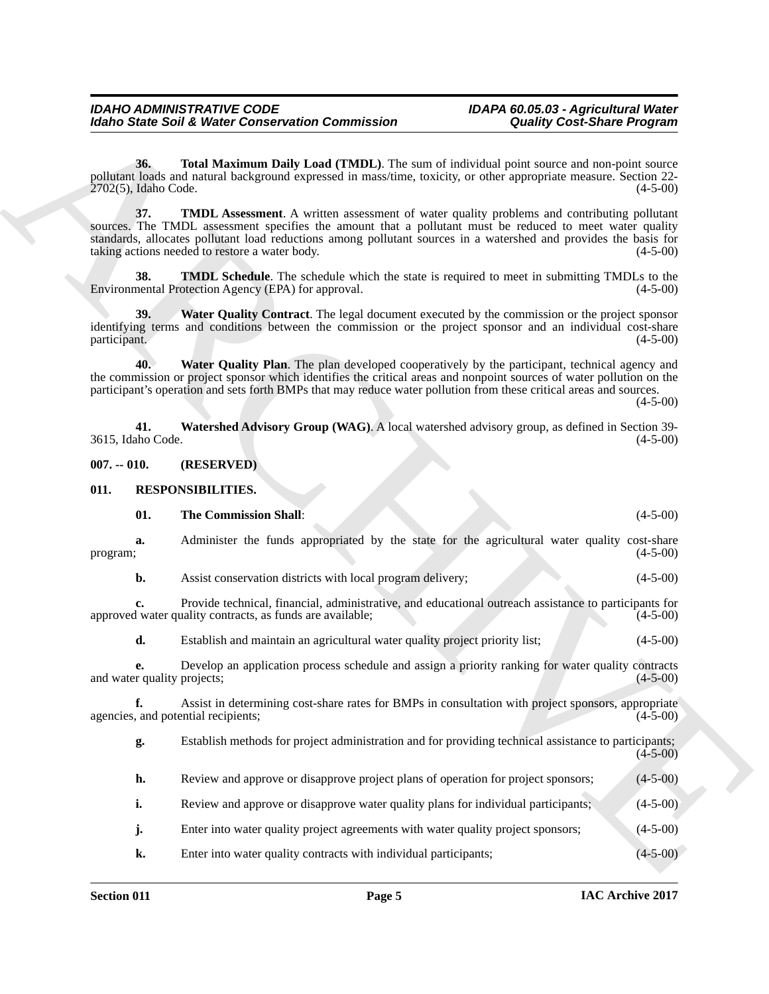<span id="page-4-4"></span>**36. Total Maximum Daily Load (TMDL)**. The sum of individual point source and non-point source pollutant loads and natural background expressed in mass/time, toxicity, or other appropriate measure. Section 22- 2702(5), Idaho Code.

<span id="page-4-2"></span>**37. TMDL Assessment**. A written assessment of water quality problems and contributing pollutant sources. The TMDL assessment specifies the amount that a pollutant must be reduced to meet water quality standards, allocates pollutant load reductions among pollutant sources in a watershed and provides the basis for<br>taking actions needed to restore a water body. (4-5-00) taking actions needed to restore a water body.

<span id="page-4-3"></span>**38. TMDL Schedule**. The schedule which the state is required to meet in submitting TMDLs to the nental Protection Agency (EPA) for approval. (4-5-00) Environmental Protection Agency (EPA) for approval.

<span id="page-4-5"></span>**39. Water Quality Contract**. The legal document executed by the commission or the project sponsor identifying terms and conditions between the commission or the project sponsor and an individual cost-share participant. (4-5-00) participant. (4-5-00)

<span id="page-4-6"></span>**40. Water Quality Plan**. The plan developed cooperatively by the participant, technical agency and the commission or project sponsor which identifies the critical areas and nonpoint sources of water pollution on the participant's operation and sets forth BMPs that may reduce water pollution from these critical areas and sources.

 $(4-5-00)$ 

<span id="page-4-7"></span>**41. Watershed Advisory Group (WAG)**. A local watershed advisory group, as defined in Section 39- 3615, Idaho Code.

<span id="page-4-0"></span>**007. -- 010. (RESERVED)**

#### <span id="page-4-1"></span>**011. RESPONSIBILITIES.**

<span id="page-4-9"></span><span id="page-4-8"></span>

| 01.<br><b>The Commission Shall:</b> | (4-5-00) |
|-------------------------------------|----------|
|-------------------------------------|----------|

Morio State Said Water Context-rate Commission Context (and in California Context (and in California Context (and in California Context (and in California Context (and in California Context (and in California Context (and **a.** Administer the funds appropriated by the state for the agricultural water quality cost-share program; (4-5-00)  $\mu$  program; (4-5-00) **b.** Assist conservation districts with local program delivery; (4-5-00)

**c.** Provide technical, financial, administrative, and educational outreach assistance to participants for 1 water quality contracts, as funds are available; approved water quality contracts, as funds are available;

**d.** Establish and maintain an agricultural water quality project priority list; (4-5-00)

**e.** Develop an application process schedule and assign a priority ranking for water quality contracts and water quality projects; (4-5-00)

**f.** Assist in determining cost-share rates for BMPs in consultation with project sponsors, appropriate and potential recipients; (4-5-00) agencies, and potential recipients;

**g.** Establish methods for project administration and for providing technical assistance to participants;  $(4 - 5 - 00)$ 

**h.** Review and approve or disapprove project plans of operation for project sponsors; (4-5-00)

**i.** Review and approve or disapprove water quality plans for individual participants; (4-5-00)

- **j.** Enter into water quality project agreements with water quality project sponsors; (4-5-00)
- **k.** Enter into water quality contracts with individual participants; (4-5-00)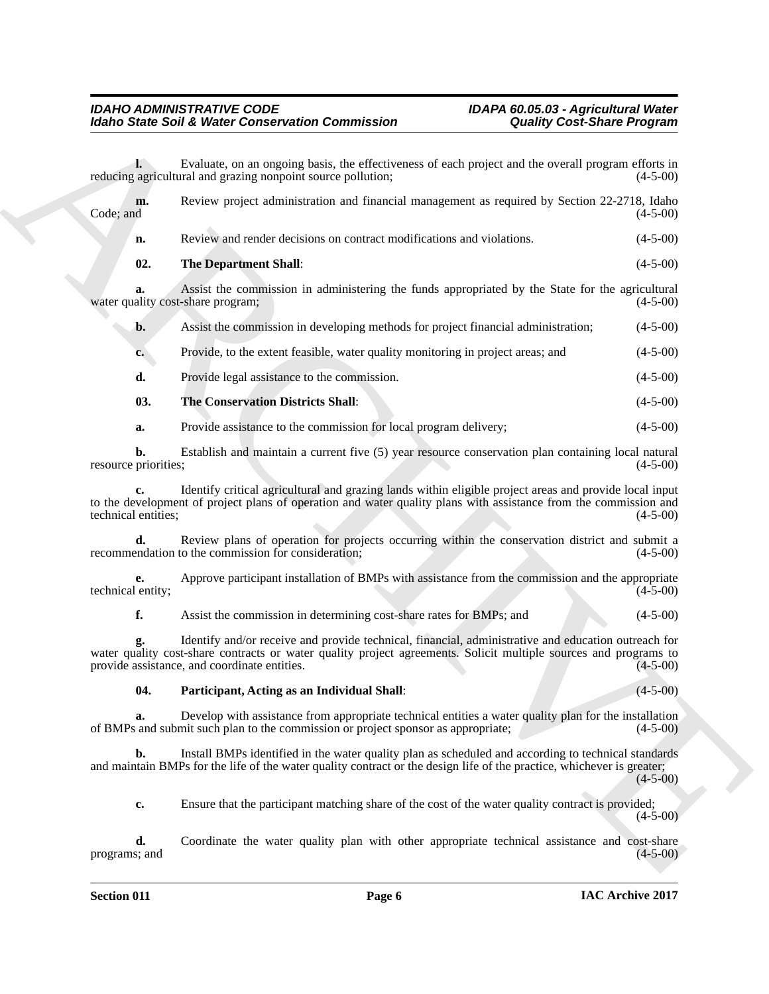<span id="page-5-2"></span><span id="page-5-1"></span>Modelo State Solid Weiser Conservation Commission<br>
Leading Conservation Conservation Commission<br>
weights and the system and the system and the system and the system and the system and the system and the system and the sys **l.** Evaluate, on an ongoing basis, the effectiveness of each project and the overall program efforts in agricultural and grazing nonpoint source pollution:  $(4-5-00)$ reducing agricultural and grazing nonpoint source pollution; **m.** Review project administration and financial management as required by Section 22-2718, Idaho (4-5-00)  $\text{Code}$ ; and  $(4-5-00)$ **n.** Review and render decisions on contract modifications and violations. (4-5-00) **02.** The Department Shall: (4-5-00) **a.** Assist the commission in administering the funds appropriated by the State for the agricultural ality cost-share program; (4-5-00) water quality cost-share program; **b.** Assist the commission in developing methods for project financial administration; (4-5-00) **c.** Provide, to the extent feasible, water quality monitoring in project areas; and  $(4-5-00)$ **d.** Provide legal assistance to the commission. (4-5-00) **03. The Conservation Districts Shall**: (4-5-00) **a.** Provide assistance to the commission for local program delivery; (4-5-00) **b.** Establish and maintain a current five (5) year resource conservation plan containing local natural priorities: (4-5-00) resource priorities; **c.** Identify critical agricultural and grazing lands within eligible project areas and provide local input to the development of project plans of operation and water quality plans with assistance from the commission and technical entities; (4-5-00) technical entities; **d.** Review plans of operation for projects occurring within the conservation district and submit a endation to the commission for consideration; (4-5-00) recommendation to the commission for consideration; **e.** Approve participant installation of BMPs with assistance from the commission and the appropriate lentity; (4-5-00) technical entity; **f.** Assist the commission in determining cost-share rates for BMPs; and (4-5-00) **g.** Identify and/or receive and provide technical, financial, administrative and education outreach for water quality cost-share contracts or water quality project agreements. Solicit multiple sources and programs to provide assistance, and coordinate entities. (4-5-00) provide assistance, and coordinate entities. **04. Participant, Acting as an Individual Shall**: (4-5-00) **a.** Develop with assistance from appropriate technical entities a water quality plan for the installation and submit such plan to the commission or project sponsor as appropriate: (4-5-00) of BMPs and submit such plan to the commission or project sponsor as appropriate; (4-5-00) **b.** Install BMPs identified in the water quality plan as scheduled and according to technical standards and maintain BMPs for the life of the water quality contract or the design life of the practice, whichever is greater;  $(4-5-00)$ **c.** Ensure that the participant matching share of the cost of the water quality contract is provided;

<span id="page-5-0"></span>**d.** Coordinate the water quality plan with other appropriate technical assistance and cost-share  $(4-5-00)$ programs; and

 $(4-5-00)$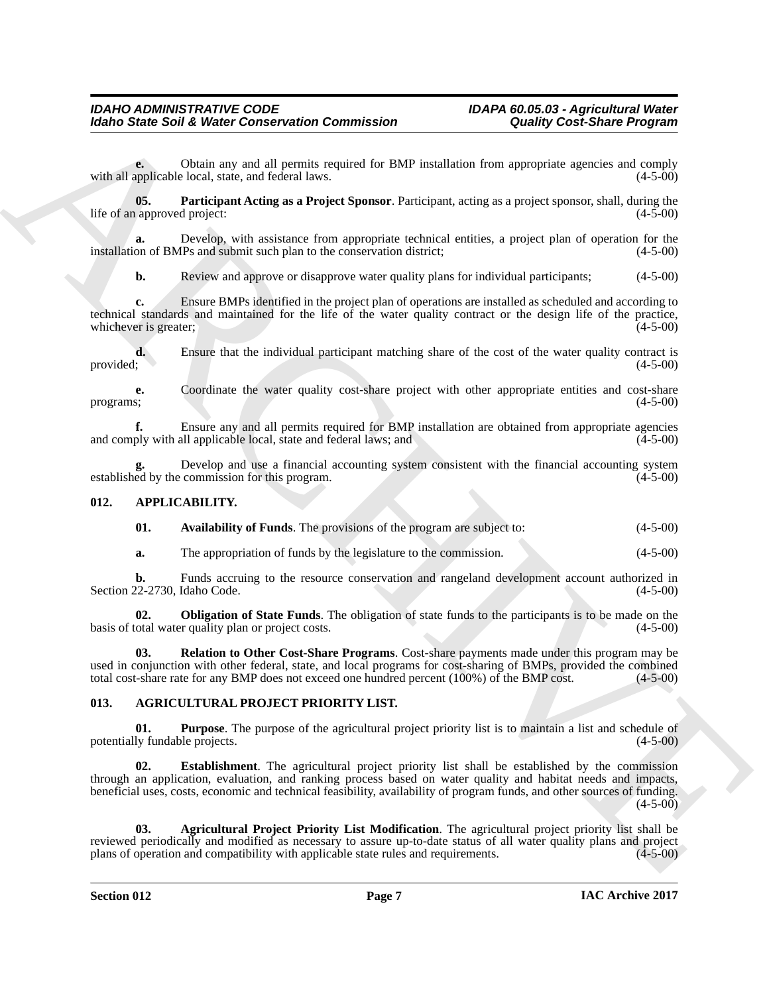**e.** Obtain any and all permits required for BMP installation from appropriate agencies and comply applicable local, state, and federal laws. with all applicable local, state, and federal laws.

<span id="page-6-10"></span>**05.** Participant Acting as a Project Sponsor. Participant, acting as a project sponsor, shall, during the approved project: (4-5-00) life of an approved project:

**a.** Develop, with assistance from appropriate technical entities, a project plan of operation for the on of BMPs and submit such plan to the conservation district; (4-5-00) installation of BMPs and submit such plan to the conservation district;

**b.** Review and approve or disapprove water quality plans for individual participants; (4-5-00)

**c.** Ensure BMPs identified in the project plan of operations are installed as scheduled and according to technical standards and maintained for the life of the water quality contract or the design life of the practice, whichever is greater; (4-5-00)

**d.** Ensure that the individual participant matching share of the cost of the water quality contract is provided; (4-5-00) provided;  $(4-5-00)$ 

**e.** Coordinate the water quality cost-share project with other appropriate entities and cost-share  $(4-5-00)$ programs; (4-5-00)

**f.** Ensure any and all permits required for BMP installation are obtained from appropriate agencies ply with all applicable local, state and federal laws; and (4-5-00) and comply with all applicable local, state and federal laws; and

Develop and use a financial accounting system consistent with the financial accounting system commission for this program.  $(4-5-00)$ established by the commission for this program.

# <span id="page-6-0"></span>**012. APPLICABILITY.**

<span id="page-6-7"></span><span id="page-6-6"></span>

| 01. | Availability of Funds. The provisions of the program are subject to: |  |  |  | $(4-5-00)$ |
|-----|----------------------------------------------------------------------|--|--|--|------------|
|-----|----------------------------------------------------------------------|--|--|--|------------|

<span id="page-6-8"></span>**a.** The appropriation of funds by the legislature to the commission. (4-5-00)

**b.** Funds accruing to the resource conservation and rangeland development account authorized in (4-5-00) (4-5-00) Section 22-2730, Idaho Code.

**02. Obligation of State Funds**. The obligation of state funds to the participants is to be made on the total water quality plan or project costs.  $(4-5-00)$ basis of total water quality plan or project costs.

<span id="page-6-9"></span>**03. Relation to Other Cost-Share Programs**. Cost-share payments made under this program may be used in conjunction with other federal, state, and local programs for cost-sharing of BMPs, provided the combined total cost-share rate for any BMP does not exceed one hundred percent (100%) of the BMP cost. (4-5-00)

# <span id="page-6-2"></span><span id="page-6-1"></span>**013. AGRICULTURAL PROJECT PRIORITY LIST.**

<span id="page-6-5"></span><span id="page-6-4"></span>**01. Purpose**. The purpose of the agricultural project priority list is to maintain a list and schedule of potentially fundable projects. (4-5-00)

Moreo State Solid Weiser Conservation Commission<br>
Candidy Constitute Properties<br>
The conservation of the space of the conservation of the main recognization of the space of the space of the space of the space of the space **02. Establishment**. The agricultural project priority list shall be established by the commission through an application, evaluation, and ranking process based on water quality and habitat needs and impacts, beneficial uses, costs, economic and technical feasibility, availability of program funds, and other sources of funding.  $(4-5-00)$ 

<span id="page-6-3"></span>**03. Agricultural Project Priority List Modification**. The agricultural project priority list shall be reviewed periodically and modified as necessary to assure up-to-date status of all water quality plans and project plans of operation and compatibility with applicable state rules and requirements. (4-5-00) plans of operation and compatibility with applicable state rules and requirements.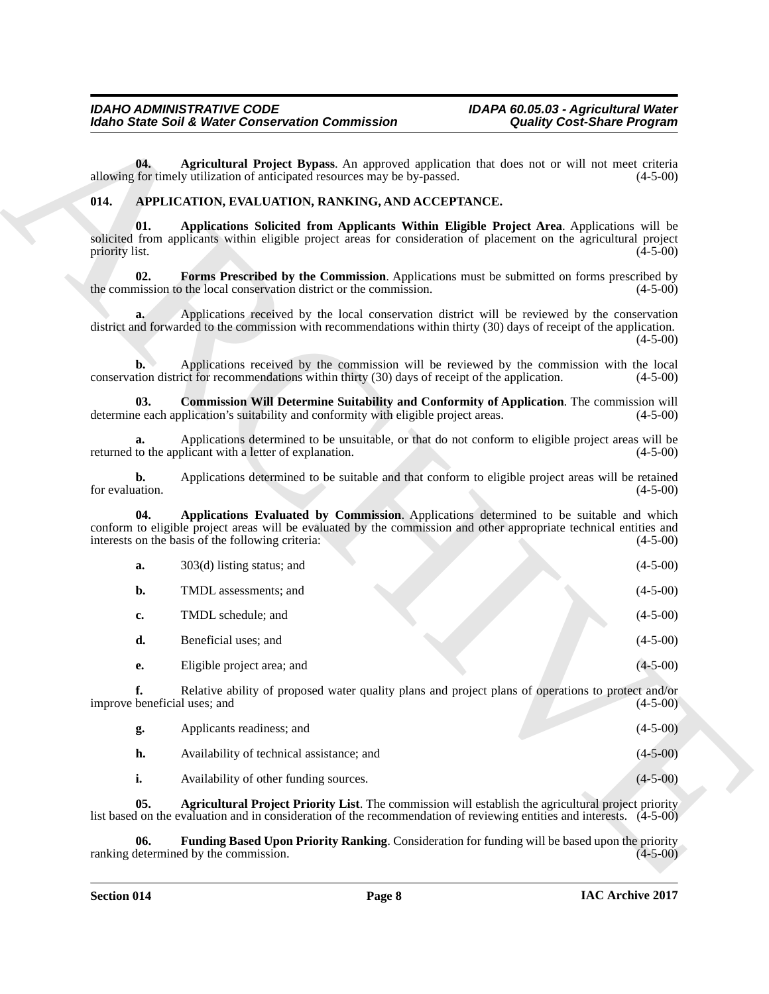# <span id="page-7-8"></span><span id="page-7-7"></span><span id="page-7-6"></span><span id="page-7-5"></span><span id="page-7-4"></span><span id="page-7-3"></span><span id="page-7-2"></span><span id="page-7-1"></span><span id="page-7-0"></span>**014. APPLICATION, EVALUATION, RANKING, AND ACCEPTANCE.**

|                                    | <b>Idaho State Soil &amp; Water Conservation Commission</b>                                                                                                                                                                                                       | <b>Quality Cost-Share Program</b> |  |
|------------------------------------|-------------------------------------------------------------------------------------------------------------------------------------------------------------------------------------------------------------------------------------------------------------------|-----------------------------------|--|
| 04.                                | Agricultural Project Bypass. An approved application that does not or will not meet criteria<br>allowing for timely utilization of anticipated resources may be by-passed.                                                                                        | $(4-5-00)$                        |  |
| 014.                               | APPLICATION, EVALUATION, RANKING, AND ACCEPTANCE.                                                                                                                                                                                                                 |                                   |  |
| 01.<br>priority list.              | Applications Solicited from Applicants Within Eligible Project Area. Applications will be<br>solicited from applicants within eligible project areas for consideration of placement on the agricultural project                                                   | $(4-5-00)$                        |  |
| 02.                                | Forms Prescribed by the Commission. Applications must be submitted on forms prescribed by<br>the commission to the local conservation district or the commission.                                                                                                 | $(4-5-00)$                        |  |
| a.                                 | Applications received by the local conservation district will be reviewed by the conservation<br>district and forwarded to the commission with recommendations within thirty (30) days of receipt of the application.                                             | $(4-5-00)$                        |  |
| b.                                 | Applications received by the commission will be reviewed by the commission with the local<br>conservation district for recommendations within thirty (30) days of receipt of the application.                                                                     | $(4-5-00)$                        |  |
| 03.                                | Commission Will Determine Suitability and Conformity of Application. The commission will<br>determine each application's suitability and conformity with eligible project areas.                                                                                  | $(4-5-00)$                        |  |
| a.                                 | Applications determined to be unsuitable, or that do not conform to eligible project areas will be<br>returned to the applicant with a letter of explanation.                                                                                                     | $(4-5-00)$                        |  |
| b.<br>for evaluation.              | Applications determined to be suitable and that conform to eligible project areas will be retained                                                                                                                                                                | $(4-5-00)$                        |  |
| 04.                                | Applications Evaluated by Commission. Applications determined to be suitable and which<br>conform to eligible project areas will be evaluated by the commission and other appropriate technical entities and<br>interests on the basis of the following criteria: | $(4-5-00)$                        |  |
| a.                                 | 303(d) listing status; and                                                                                                                                                                                                                                        | $(4-5-00)$                        |  |
| $\mathbf{b}$ .                     | TMDL assessments; and                                                                                                                                                                                                                                             | $(4-5-00)$                        |  |
| c.                                 | TMDL schedule; and                                                                                                                                                                                                                                                | $(4-5-00)$                        |  |
| d.                                 | Beneficial uses; and                                                                                                                                                                                                                                              | $(4-5-00)$                        |  |
| e.                                 | Eligible project area; and                                                                                                                                                                                                                                        | $(4 - 5 - 00)$                    |  |
| f.<br>improve beneficial uses; and | Relative ability of proposed water quality plans and project plans of operations to protect and/or                                                                                                                                                                | $(4-5-00)$                        |  |
| g.                                 | Applicants readiness; and                                                                                                                                                                                                                                         | $(4-5-00)$                        |  |
| h.                                 | Availability of technical assistance; and                                                                                                                                                                                                                         | $(4 - 5 - 00)$                    |  |
| i.                                 | Availability of other funding sources.                                                                                                                                                                                                                            | $(4-5-00)$                        |  |
| 05.                                | <b>Agricultural Project Priority List.</b> The commission will establish the agricultural project priority<br>list based on the evaluation and in consideration of the recommendation of reviewing entities and interests. (4-5-00)                               |                                   |  |
| 06.                                | Funding Based Upon Priority Ranking. Consideration for funding will be based upon the priority<br>ranking determined by the commission.                                                                                                                           | $(4-5-00)$                        |  |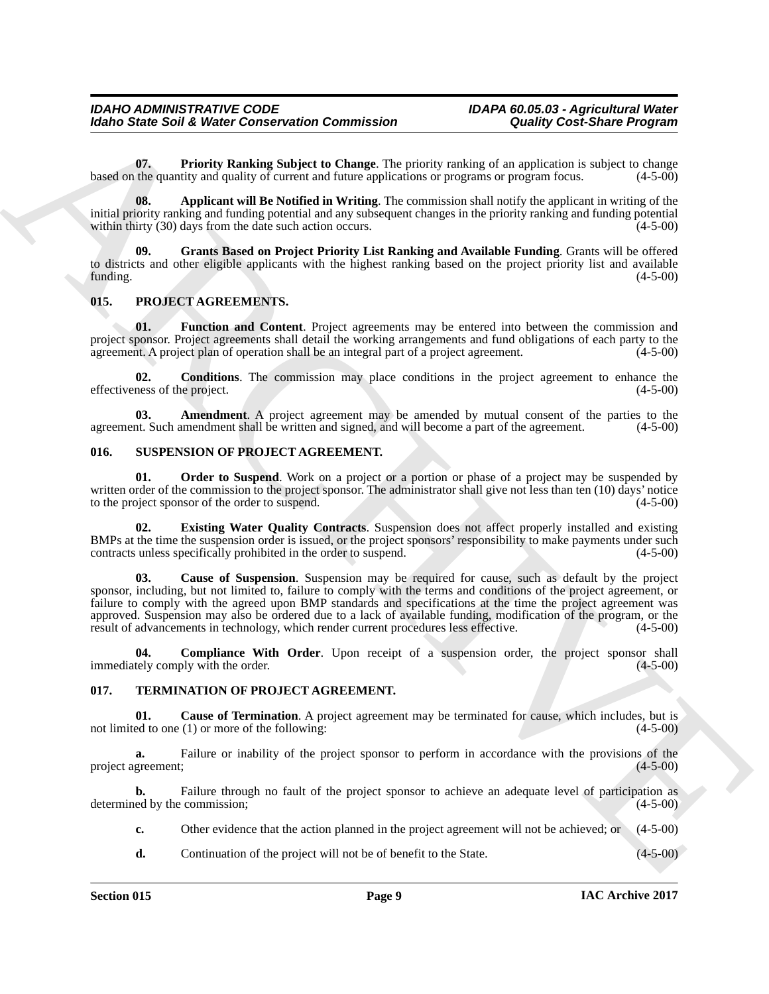<span id="page-8-5"></span>**07. Priority Ranking Subject to Change**. The priority ranking of an application is subject to change the quantity and quality of current and future applications or programs or program focus. (4-5-00) based on the quantity and quality of current and future applications or programs or program focus.

<span id="page-8-3"></span>**08. Applicant will Be Notified in Writing**. The commission shall notify the applicant in writing of the initial priority ranking and funding potential and any subsequent changes in the priority ranking and funding potential within thirty  $(30)$  days from the date such action occurs.

<span id="page-8-4"></span>**09. Grants Based on Project Priority List Ranking and Available Funding**. Grants will be offered to districts and other eligible applicants with the highest ranking based on the project priority list and available funding. (4-5-00) funding. (4-5-00)

# <span id="page-8-6"></span><span id="page-8-0"></span>**015. PROJECT AGREEMENTS.**

<span id="page-8-9"></span>**01. Function and Content**. Project agreements may be entered into between the commission and project sponsor. Project agreements shall detail the working arrangements and fund obligations of each party to the agreement. A project plan of operation shall be an integral part of a project agreement. (4-5-00) agreement. A project plan of operation shall be an integral part of a project agreement.

<span id="page-8-8"></span>**02. Conditions**. The commission may place conditions in the project agreement to enhance the ness of the project. (4-5-00) effectiveness of the project.

<span id="page-8-7"></span>**03. Amendment**. A project agreement may be amended by mutual consent of the parties to the net. Such amendment shall be written and signed, and will become a part of the agreement. (4-5-00) agreement. Such amendment shall be written and signed, and will become a part of the agreement.

#### <span id="page-8-10"></span><span id="page-8-1"></span>**016. SUSPENSION OF PROJECT AGREEMENT.**

<span id="page-8-14"></span>**01. Order to Suspend**. Work on a project or a portion or phase of a project may be suspended by written order of the commission to the project sponsor. The administrator shall give not less than ten (10) days' notice to the project sponsor of the order to suspend. (4-5-00) to the project sponsor of the order to suspend.

<span id="page-8-13"></span><span id="page-8-11"></span>**02. Existing Water Quality Contracts**. Suspension does not affect properly installed and existing BMPs at the time the suspension order is issued, or the project sponsors' responsibility to make payments under such contracts unless specifically prohibited in the order to suspend.  $(4-5-00)$ contracts unless specifically prohibited in the order to suspend.

Model State Solid Molec Conservation Commission<br>
0. Conselling Conservation Commission<br>
0. Conselling Molecular Commission<br>
Nextra are placing a higher of conselling the principal conselling is a magnitude in a single of **03. Cause of Suspension**. Suspension may be required for cause, such as default by the project sponsor, including, but not limited to, failure to comply with the terms and conditions of the project agreement, or failure to comply with the agreed upon BMP standards and specifications at the time the project agreement was approved. Suspension may also be ordered due to a lack of available funding, modification of the program, or the result of advancements in technology, which render current procedures less effective. (4-5-00)

<span id="page-8-12"></span>**04. Compliance With Order**. Upon receipt of a suspension order, the project sponsor shall tely comply with the order. (4-5-00) immediately comply with the order.

#### <span id="page-8-15"></span><span id="page-8-2"></span>**017. TERMINATION OF PROJECT AGREEMENT.**

<span id="page-8-16"></span>**01.** Cause of Termination. A project agreement may be terminated for cause, which includes, but is ed to one (1) or more of the following: not limited to one  $(1)$  or more of the following:

**a.** Failure or inability of the project sponsor to perform in accordance with the provisions of the greement; (4-5-00) project agreement;

**b.** Failure through no fault of the project sponsor to achieve an adequate level of participation as ed by the commission; (4-5-00) determined by the commission;

**c.** Other evidence that the action planned in the project agreement will not be achieved; or  $(4-5-00)$ 

**d.** Continuation of the project will not be of benefit to the State. (4-5-00)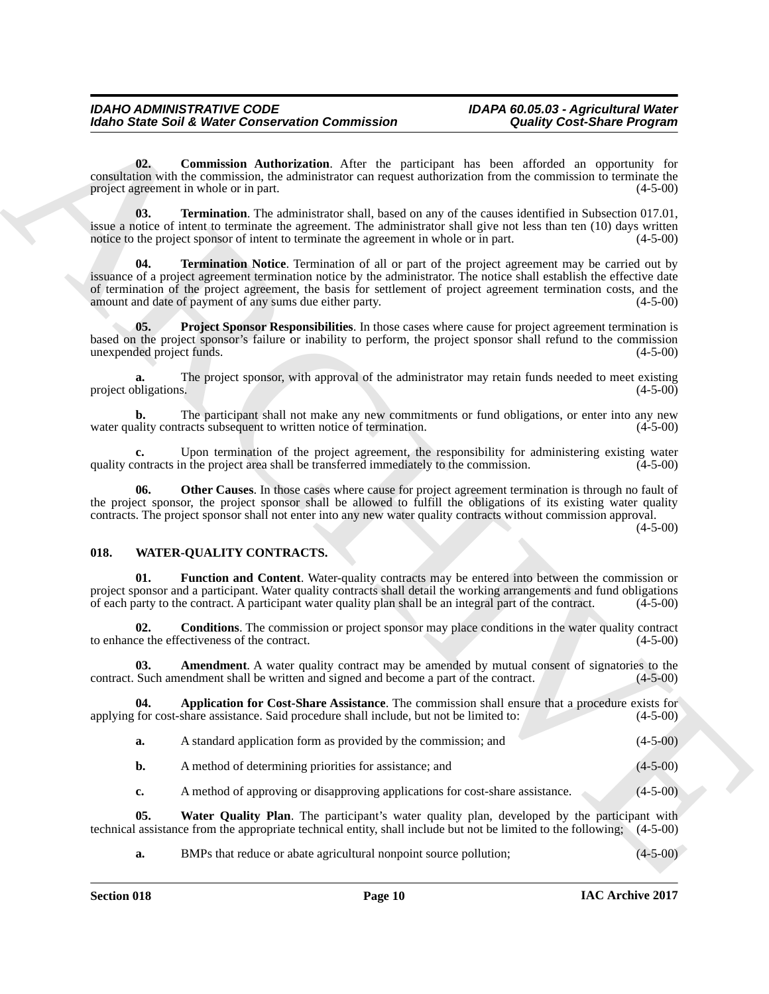<span id="page-9-1"></span>**02. Commission Authorization**. After the participant has been afforded an opportunity for consultation with the commission, the administrator can request authorization from the commission to terminate the project agreement in whole or in part.

<span id="page-9-5"></span><span id="page-9-4"></span>**03. Termination**. The administrator shall, based on any of the causes identified in Subsection 017.01, issue a notice of intent to terminate the agreement. The administrator shall give not less than ten (10) days written notice to the project sponsor of intent to terminate the agreement in whole or in part.  $(4-5-00)$ 

Moreo State Solid Weiser Conservation Commission<br>
Conservation Conservation Commission<br>
Conservation Administration Administration Commission<br>
Conservative Conservation Administration Conservation Conservative Conservativ **Termination Notice**. Termination of all or part of the project agreement may be carried out by issuance of a project agreement termination notice by the administrator. The notice shall establish the effective date of termination of the project agreement, the basis for settlement of project agreement termination costs, and the amount and date of payment of any sums due either party. (4-5-00) amount and date of payment of any sums due either party.

<span id="page-9-3"></span>**05.** Project Sponsor Responsibilities. In those cases where cause for project agreement termination is based on the project sponsor's failure or inability to perform, the project sponsor shall refund to the commission unexpended project funds. (4-5-00) unexpended project funds.

The project sponsor, with approval of the administrator may retain funds needed to meet existing s. project obligations.

**b.** The participant shall not make any new commitments or fund obligations, or enter into any new ality contracts subsequent to written notice of termination. (4-5-00) water quality contracts subsequent to written notice of termination.

**c.** Upon termination of the project agreement, the responsibility for administering existing water ontracts in the project area shall be transferred immediately to the commission. (4-5-00) quality contracts in the project area shall be transferred immediately to the commission.

<span id="page-9-2"></span>**06. Other Causes**. In those cases where cause for project agreement termination is through no fault of the project sponsor, the project sponsor shall be allowed to fulfill the obligations of its existing water quality contracts. The project sponsor shall not enter into any new water quality contracts without commission approval.

 $(4 - 5 - 00)$ 

# <span id="page-9-6"></span><span id="page-9-0"></span>**018. WATER-QUALITY CONTRACTS.**

<span id="page-9-10"></span>**01. Function and Content**. Water-quality contracts may be entered into between the commission or project sponsor and a participant. Water quality contracts shall detail the working arrangements and fund obligations of each party to the contract. A participant water quality plan shall be an integral part of the contrac of each party to the contract. A participant water quality plan shall be an integral part of the contract.

<span id="page-9-9"></span>**02. Conditions**. The commission or project sponsor may place conditions in the water quality contract ce the effectiveness of the contract. (4-5-00) to enhance the effectiveness of the contract.

<span id="page-9-7"></span>**03. Amendment**. A water quality contract may be amended by mutual consent of signatories to the contract. Such amendment shall be written and signed and become a part of the contract. (4-5-00)

**04.** Application for Cost-Share Assistance. The commission shall ensure that a procedure exists for for cost-share assistance. Said procedure shall include, but not be limited to: (4-5-00) applying for cost-share assistance. Said procedure shall include, but not be limited to:

<span id="page-9-8"></span>

| а. | A standard application form as provided by the commission; and | $(4-5-00)$ |
|----|----------------------------------------------------------------|------------|
|    |                                                                |            |

**b.** A method of determining priorities for assistance; and (4-5-00)

<span id="page-9-11"></span>**c.** A method of approving or disapproving applications for cost-share assistance. (4-5-00)

**05.** Water Quality Plan. The participant's water quality plan, developed by the participant with assistance from the appropriate technical entity, shall include but not be limited to the following; (4-5-00) technical assistance from the appropriate technical entity, shall include but not be limited to the following;

**a.** BMPs that reduce or abate agricultural nonpoint source pollution; (4-5-00)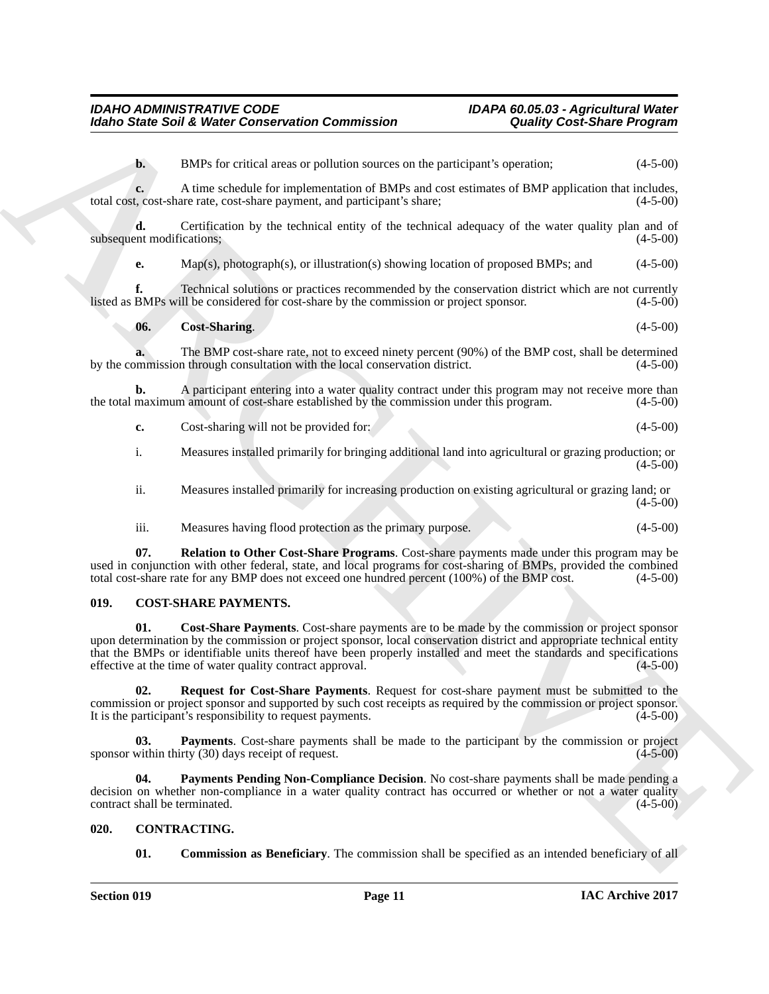**b.** BMPs for critical areas or pollution sources on the participant's operation; (4-5-00)

**c.** A time schedule for implementation of BMPs and cost estimates of BMP application that includes, total cost, cost-share rate, cost-share payment, and participant's share; (4-5-00)

**d.** Certification by the technical entity of the technical adequacy of the water quality plan and of ent modifications: (4-5-00) subsequent modifications;

**e.** Map(s), photograph(s), or illustration(s) showing location of proposed BMPs; and (4-5-00)

**f.** Technical solutions or practices recommended by the conservation district which are not currently BMPs will be considered for cost-share by the commission or project sponsor. (4-5-00) listed as BMPs will be considered for cost-share by the commission or project sponsor.

<span id="page-10-9"></span>
$$
06. Cost-Sharing. \t(4-5-00)
$$

**a.** The BMP cost-share rate, not to exceed ninety percent (90%) of the BMP cost, shall be determined mmission through consultation with the local conservation district. (4-5-00) by the commission through consultation with the local conservation district.

**b.** A participant entering into a water quality contract under this program may not receive more than maximum amount of cost-share established by the commission under this program.  $(4-5-00)$ the total maximum amount of cost-share established by the commission under this program.

| Cost-sharing will not be provided for:<br> | $(4-5-00)$ |  |
|--------------------------------------------|------------|--|
|--------------------------------------------|------------|--|

i. Measures installed primarily for bringing additional land into agricultural or grazing production; or  $(4-5-00)$ 

ii. Measures installed primarily for increasing production on existing agricultural or grazing land; or  $(4-5-00)$ 

<span id="page-10-10"></span>iii. Measures having flood protection as the primary purpose. (4-5-00)

**07. Relation to Other Cost-Share Programs**. Cost-share payments made under this program may be used in conjunction with other federal, state, and local programs for cost-sharing of BMPs, provided the combined total cost-share rate for any BMP does not exceed one hundred percent (100%) of the BMP cost. (4-5-00) total cost-share rate for any BMP does not exceed one hundred percent  $(100%)$  of the BMP cost.

# <span id="page-10-5"></span><span id="page-10-4"></span><span id="page-10-0"></span>**019. COST-SHARE PAYMENTS.**

Model State Solid Weise Conservation Commission Conservation Commission Conservation Conservation Commission Conservation Conservation Conservation (A) and the main of the second and the second and the second and the seco **01. Cost-Share Payments**. Cost-share payments are to be made by the commission or project sponsor upon determination by the commission or project sponsor, local conservation district and appropriate technical entity that the BMPs or identifiable units thereof have been properly installed and meet the standards and specifications effective at the time of water quality contract approval. (4-5-00)

<span id="page-10-8"></span>**02. Request for Cost-Share Payments**. Request for cost-share payment must be submitted to the commission or project sponsor and supported by such cost receipts as required by the commission or project sponsor. It is the participant's responsibility to request payments.

<span id="page-10-6"></span>**Payments**. Cost-share payments shall be made to the participant by the commission or project sponsor within thirty  $(30)$  days receipt of request.  $(4-5-00)$ 

<span id="page-10-7"></span>**04. Payments Pending Non-Compliance Decision**. No cost-share payments shall be made pending a decision on whether non-compliance in a water quality contract has occurred or whether or not a water quality contract shall be terminated. (4-5-00)

# <span id="page-10-1"></span>**020. CONTRACTING.**

<span id="page-10-3"></span><span id="page-10-2"></span>**01.** Commission as Beneficiary. The commission shall be specified as an intended beneficiary of all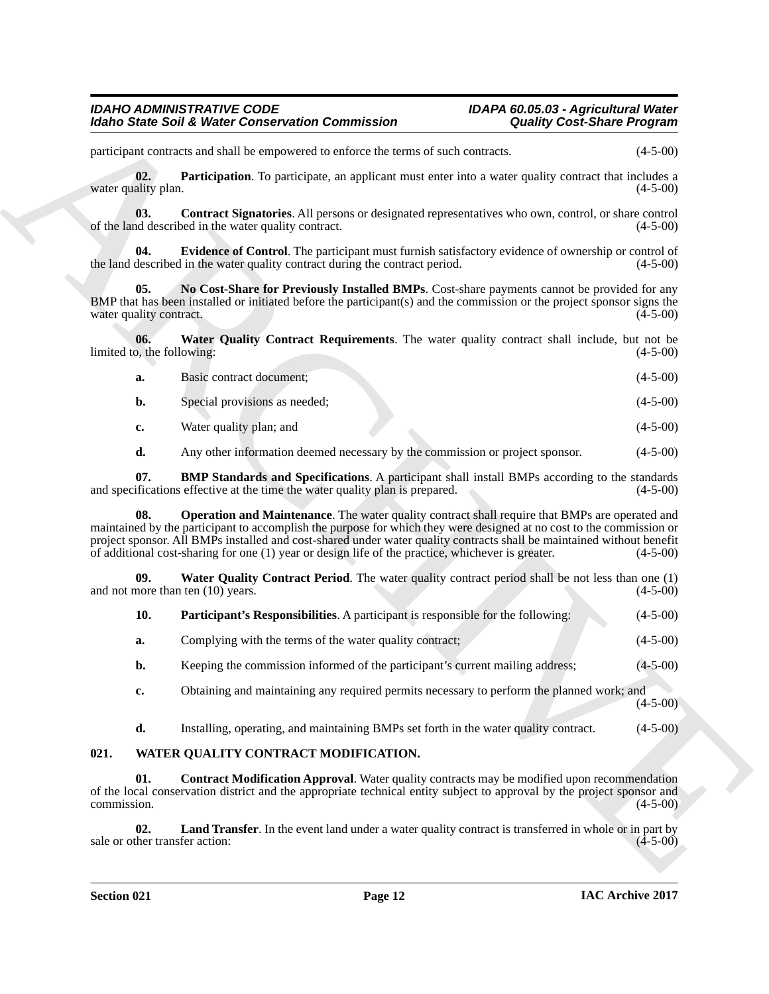<span id="page-11-9"></span><span id="page-11-8"></span><span id="page-11-5"></span><span id="page-11-4"></span><span id="page-11-3"></span><span id="page-11-2"></span><span id="page-11-1"></span>

| а. | Basic contract document;      | $(4-5-00)$ |
|----|-------------------------------|------------|
| D. | Special provisions as needed; | $(4-5-00)$ |
|    | Water quality plan; and       | $(4-5-00)$ |

<span id="page-11-7"></span>

| <b>Idaho State Soil &amp; Water Conservation Commission</b>                                                                                                                                                                                                                                                                                                                                                                                                         | <b>Quality Cost-Share Program</b> |
|---------------------------------------------------------------------------------------------------------------------------------------------------------------------------------------------------------------------------------------------------------------------------------------------------------------------------------------------------------------------------------------------------------------------------------------------------------------------|-----------------------------------|
| participant contracts and shall be empowered to enforce the terms of such contracts.                                                                                                                                                                                                                                                                                                                                                                                | $(4-5-00)$                        |
| 02.<br><b>Participation</b> . To participate, an applicant must enter into a water quality contract that includes a<br>water quality plan.                                                                                                                                                                                                                                                                                                                          | $(4-5-00)$                        |
| <b>Contract Signatories.</b> All persons or designated representatives who own, control, or share control<br>03.<br>of the land described in the water quality contract.                                                                                                                                                                                                                                                                                            | $(4-5-00)$                        |
| Evidence of Control. The participant must furnish satisfactory evidence of ownership or control of<br>04.<br>the land described in the water quality contract during the contract period.                                                                                                                                                                                                                                                                           | $(4-5-00)$                        |
| 05.<br>No Cost-Share for Previously Installed BMPs. Cost-share payments cannot be provided for any<br>BMP that has been installed or initiated before the participant(s) and the commission or the project sponsor signs the<br>water quality contract.                                                                                                                                                                                                             | $(4-5-00)$                        |
| Water Quality Contract Requirements. The water quality contract shall include, but not be<br>06.<br>limited to, the following:                                                                                                                                                                                                                                                                                                                                      | $(4-5-00)$                        |
| Basic contract document;<br>a.                                                                                                                                                                                                                                                                                                                                                                                                                                      | $(4-5-00)$                        |
| Special provisions as needed;<br>b.                                                                                                                                                                                                                                                                                                                                                                                                                                 | $(4-5-00)$                        |
| Water quality plan; and<br>c.                                                                                                                                                                                                                                                                                                                                                                                                                                       | $(4-5-00)$                        |
| Any other information deemed necessary by the commission or project sponsor.<br>d.                                                                                                                                                                                                                                                                                                                                                                                  | $(4-5-00)$                        |
| <b>BMP Standards and Specifications.</b> A participant shall install BMPs according to the standards<br>07.<br>and specifications effective at the time the water quality plan is prepared.                                                                                                                                                                                                                                                                         | $(4-5-00)$                        |
| <b>Operation and Maintenance</b> . The water quality contract shall require that BMPs are operated and<br>08.<br>maintained by the participant to accomplish the purpose for which they were designed at no cost to the commission or<br>project sponsor. All BMPs installed and cost-shared under water quality contracts shall be maintained without benefit<br>of additional cost-sharing for one (1) year or design life of the practice, whichever is greater. | $(4-5-00)$                        |
| <b>Water Quality Contract Period.</b> The water quality contract period shall be not less than one (1)<br>09.<br>and not more than ten $(10)$ years.                                                                                                                                                                                                                                                                                                                | $(4-5-00)$                        |
| 10.<br><b>Participant's Responsibilities.</b> A participant is responsible for the following:                                                                                                                                                                                                                                                                                                                                                                       | $(4-5-00)$                        |
| Complying with the terms of the water quality contract;<br>a.                                                                                                                                                                                                                                                                                                                                                                                                       | $(4-5-00)$                        |
| Keeping the commission informed of the participant's current mailing address;<br>b.                                                                                                                                                                                                                                                                                                                                                                                 | $(4 - 5 - 00)$                    |
| Obtaining and maintaining any required permits necessary to perform the planned work; and<br>c.                                                                                                                                                                                                                                                                                                                                                                     | $(4-5-00)$                        |
| d.<br>Installing, operating, and maintaining BMPs set forth in the water quality contract.                                                                                                                                                                                                                                                                                                                                                                          | $(4-5-00)$                        |
| 021.<br>WATER QUALITY CONTRACT MODIFICATION.                                                                                                                                                                                                                                                                                                                                                                                                                        |                                   |
| 01.<br><b>Contract Modification Approval.</b> Water quality contracts may be modified upon recommendation<br>of the local conservation district and the appropriate technical entity subject to approval by the project sponsor and<br>commission.                                                                                                                                                                                                                  | $(4-5-00)$                        |
| 02.<br><b>Land Transfer.</b> In the event land under a water quality contract is transferred in whole or in part by<br>sale or other transfer action:                                                                                                                                                                                                                                                                                                               | $(4-5-00)$                        |
|                                                                                                                                                                                                                                                                                                                                                                                                                                                                     |                                   |

# <span id="page-11-12"></span><span id="page-11-11"></span><span id="page-11-10"></span><span id="page-11-6"></span><span id="page-11-0"></span>**021. WATER QUALITY CONTRACT MODIFICATION.**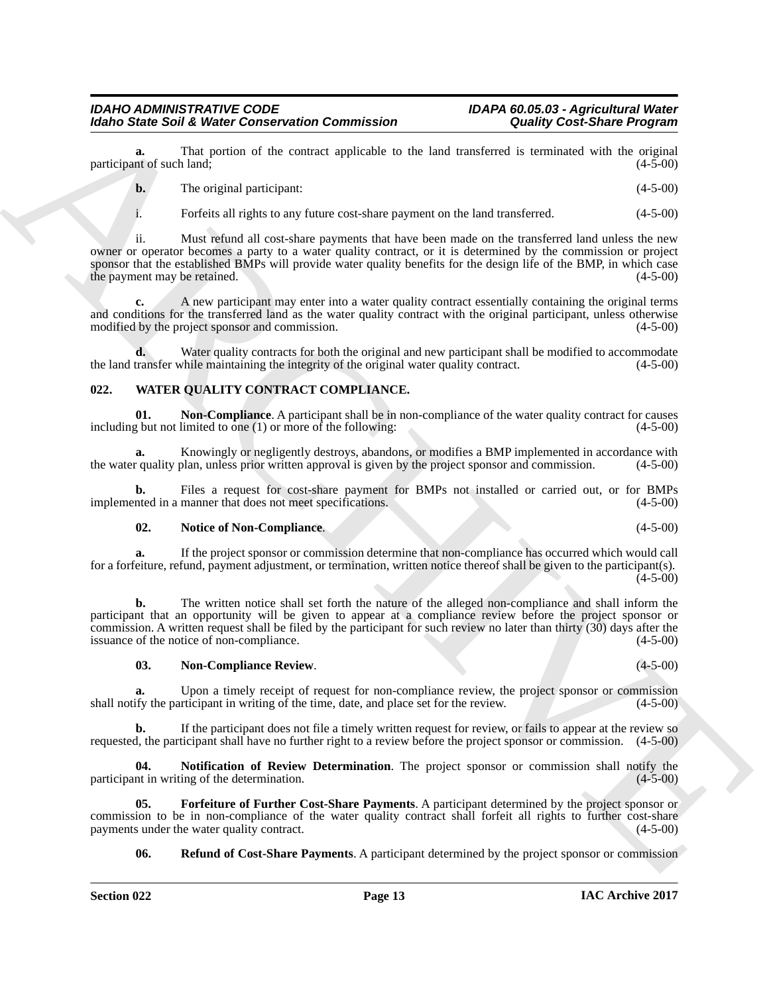**a.** That portion of the contract applicable to the land transferred is terminated with the original nt of such land: (4-5-00) participant of such land;

|  | The original participant: | $(4-5-00)$ |
|--|---------------------------|------------|
|--|---------------------------|------------|

i. Forfeits all rights to any future cost-share payment on the land transferred. (4-5-00)

Moleo Simic Sink Weiser Conservation Commission<br>
yactic minis Sink Weiser Conservation Commission<br>
yactic minis of the control of the conservation Conservation Conservation to the latter transfer of the conservation of th ii. Must refund all cost-share payments that have been made on the transferred land unless the new owner or operator becomes a party to a water quality contract, or it is determined by the commission or project sponsor that the established BMPs will provide water quality benefits for the design life of the BMP, in which case the payment may be retained. (4-5-00) (4-5-00)

**c.** A new participant may enter into a water quality contract essentially containing the original terms and conditions for the transferred land as the water quality contract with the original participant, unless otherwise modified by the project sponsor and commission. (4-5-00) (4-5-00)

**d.** Water quality contracts for both the original and new participant shall be modified to accommodate transfer while maintaining the integrity of the original water quality contract. (4-5-00) the land transfer while maintaining the integrity of the original water quality contract.

# <span id="page-12-1"></span><span id="page-12-0"></span>**022. WATER QUALITY CONTRACT COMPLIANCE.**

<span id="page-12-3"></span>**01.** Non-Compliance. A participant shall be in non-compliance of the water quality contract for causes g but not limited to one (1) or more of the following:  $(4-5-00)$ including but not limited to one  $(1)$  or more of the following:

**a.** Knowingly or negligently destroys, abandons, or modifies a BMP implemented in accordance with required in accordance with approval is given by the project sponsor and commission.  $(4-5-00)$ the water quality plan, unless prior written approval is given by the project sponsor and commission.

**b.** Files a request for cost-share payment for BMPs not installed or carried out, or for BMPs noted in a manner that does not meet specifications. (4-5-00) implemented in a manner that does not meet specifications.

#### <span id="page-12-5"></span>**02. Notice of Non-Compliance**. (4-5-00)

**a.** If the project sponsor or commission determine that non-compliance has occurred which would call for a forfeiture, refund, payment adjustment, or termination, written notice thereof shall be given to the participant(s).  $(4-5-00)$ 

**b.** The written notice shall set forth the nature of the alleged non-compliance and shall inform the participant that an opportunity will be given to appear at a compliance review before the project sponsor or commission. A written request shall be filed by the participant for such review no later than thirty  $(30)$  days after the issuance of the notice of non-compliance. issuance of the notice of non-compliance.

#### <span id="page-12-4"></span>**03. Non-Compliance Review**. (4-5-00)

**a.** Upon a timely receipt of request for non-compliance review, the project sponsor or commission ify the participant in writing of the time, date, and place set for the review. (4-5-00) shall notify the participant in writing of the time, date, and place set for the review.

**b.** If the participant does not file a timely written request for review, or fails to appear at the review so requested, the participant shall have no further right to a review before the project sponsor or commission. (4-5-00)

<span id="page-12-6"></span>**Notification of Review Determination**. The project sponsor or commission shall notify the ing of the determination. (4-5-00) participant in writing of the determination.

**05. Forfeiture of Further Cost-Share Payments**. A participant determined by the project sponsor or commission to be in non-compliance of the water quality contract shall forfeit all rights to further cost-share payments under the water quality contract. (4-5-00) payments under the water quality contract.

<span id="page-12-7"></span><span id="page-12-2"></span>**06.** Refund of Cost-Share Payments. A participant determined by the project sponsor or commission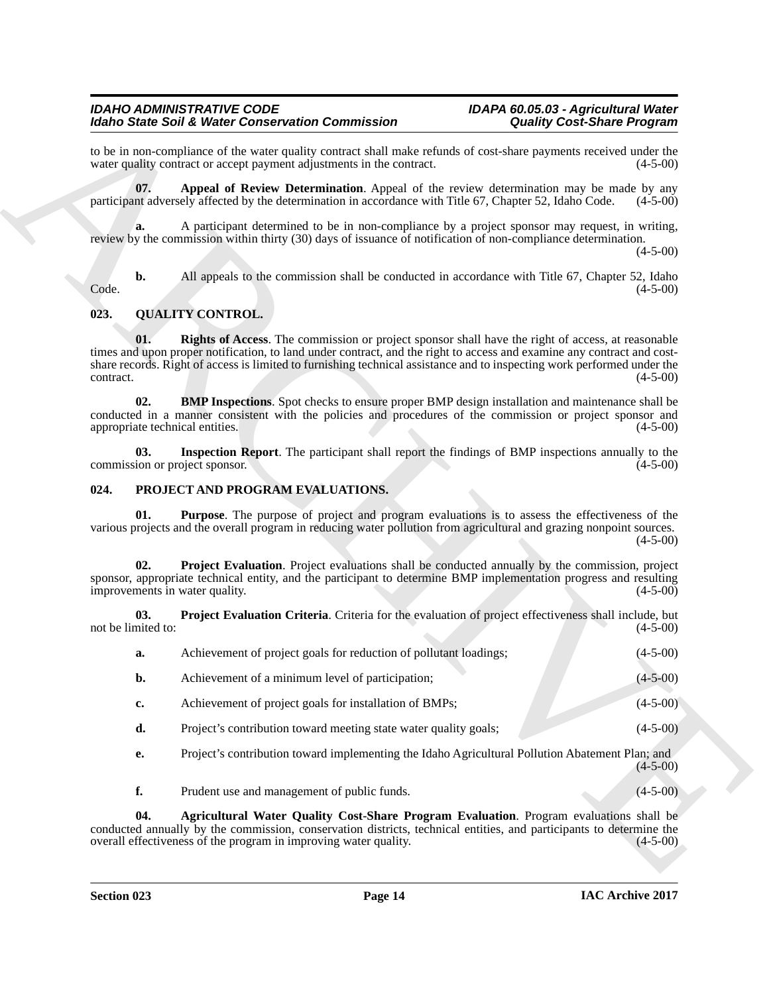# <span id="page-13-11"></span><span id="page-13-10"></span><span id="page-13-8"></span><span id="page-13-7"></span><span id="page-13-0"></span>**023. QUALITY CONTROL.**

# <span id="page-13-9"></span><span id="page-13-6"></span><span id="page-13-5"></span><span id="page-13-4"></span><span id="page-13-3"></span><span id="page-13-2"></span><span id="page-13-1"></span>**024. PROJECT AND PROGRAM EVALUATIONS.**

|                                        | to be in non-compliance of the water quality contract shall make refunds of cost-share payments received under the<br>water quality contract or accept payment adjustments in the contract.                                                                                                                                                                   | $(4-5-00)$ |
|----------------------------------------|---------------------------------------------------------------------------------------------------------------------------------------------------------------------------------------------------------------------------------------------------------------------------------------------------------------------------------------------------------------|------------|
| 07.                                    | Appeal of Review Determination. Appeal of the review determination may be made by any<br>participant adversely affected by the determination in accordance with Title 67, Chapter 52, Idaho Code.                                                                                                                                                             | $(4-5-00)$ |
| a.                                     | A participant determined to be in non-compliance by a project sponsor may request, in writing,<br>review by the commission within thirty (30) days of issuance of notification of non-compliance determination.                                                                                                                                               | $(4-5-00)$ |
| b.<br>Code.                            | All appeals to the commission shall be conducted in accordance with Title 67, Chapter 52, Idaho                                                                                                                                                                                                                                                               | $(4-5-00)$ |
| 023.                                   | <b>QUALITY CONTROL.</b>                                                                                                                                                                                                                                                                                                                                       |            |
| 01.<br>contract.                       | <b>Rights of Access.</b> The commission or project sponsor shall have the right of access, at reasonable<br>times and upon proper notification, to land under contract, and the right to access and examine any contract and cost-<br>share records. Right of access is limited to furnishing technical assistance and to inspecting work performed under the | $(4-5-00)$ |
| 02.<br>appropriate technical entities. | <b>BMP Inspections.</b> Spot checks to ensure proper BMP design installation and maintenance shall be<br>conducted in a manner consistent with the policies and procedures of the commission or project sponsor and                                                                                                                                           | $(4-5-00)$ |
| 03.<br>commission or project sponsor.  | Inspection Report. The participant shall report the findings of BMP inspections annually to the                                                                                                                                                                                                                                                               | $(4-5-00)$ |
| 024.                                   | PROJECT AND PROGRAM EVALUATIONS.                                                                                                                                                                                                                                                                                                                              |            |
| 01.                                    | <b>Purpose</b> . The purpose of project and program evaluations is to assess the effectiveness of the<br>various projects and the overall program in reducing water pollution from agricultural and grazing nonpoint sources.                                                                                                                                 | $(4-5-00)$ |
| 02.<br>improvements in water quality.  | <b>Project Evaluation.</b> Project evaluations shall be conducted annually by the commission, project<br>sponsor, appropriate technical entity, and the participant to determine BMP implementation progress and resulting                                                                                                                                    | $(4-5-00)$ |
| 03.<br>not be limited to:              | <b>Project Evaluation Criteria.</b> Criteria for the evaluation of project effectiveness shall include, but                                                                                                                                                                                                                                                   | $(4-5-00)$ |
| a.                                     | Achievement of project goals for reduction of pollutant loadings;                                                                                                                                                                                                                                                                                             | $(4-5-00)$ |
| b.                                     | Achievement of a minimum level of participation;                                                                                                                                                                                                                                                                                                              | $(4-5-00)$ |
| c.                                     | Achievement of project goals for installation of BMPs;                                                                                                                                                                                                                                                                                                        | $(4-5-00)$ |
| d.                                     | Project's contribution toward meeting state water quality goals;                                                                                                                                                                                                                                                                                              | $(4-5-00)$ |
| е.                                     | Project's contribution toward implementing the Idaho Agricultural Pollution Abatement Plan; and                                                                                                                                                                                                                                                               | $(4-5-00)$ |
| f.                                     | Prudent use and management of public funds.                                                                                                                                                                                                                                                                                                                   | $(4-5-00)$ |
| 04.                                    | Agricultural Water Quality Cost-Share Program Evaluation. Program evaluations shall be<br>conducted annually by the commission, conservation districts, technical entities, and participants to determine the<br>overall effectiveness of the program in improving water quality.                                                                             | $(4-5-00)$ |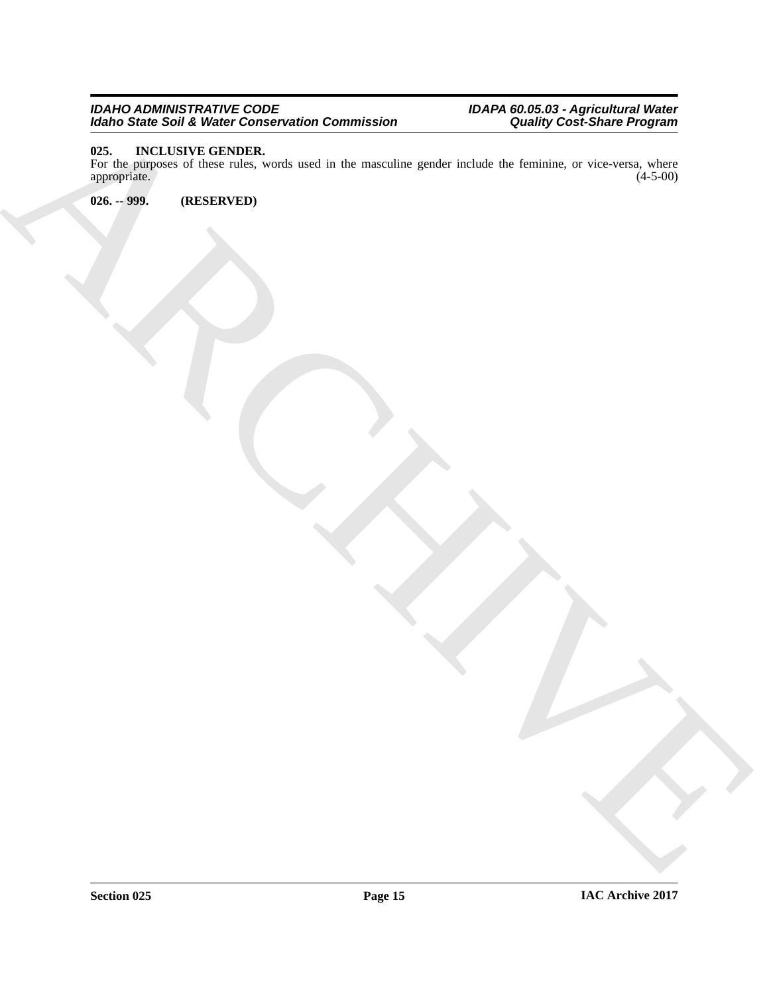# *IDAHO ADMINISTRATIVE CODE IDAPA 60.05.03 - Agricultural Water Idaho State Soil & Water Conservation Commission Quality Cost-Share Program*

# <span id="page-14-2"></span><span id="page-14-0"></span>**025. INCLUSIVE GENDER.**

ARCHIVE For the purposes of these rules, words used in the masculine gender include the feminine, or vice-versa, where appropriate. (4-5-00) appropriate.

<span id="page-14-1"></span>**026. -- 999. (RESERVED)**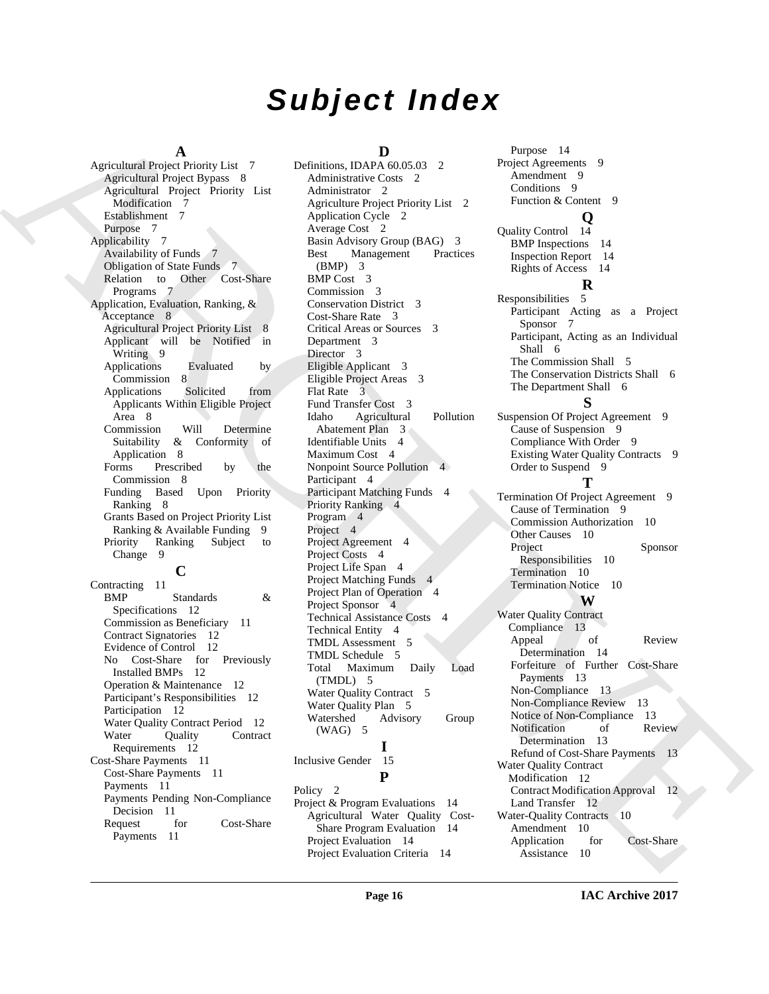# *Subject Index*

#### **A**

Agricultural Project Priority List 7 Agricultural Project Bypass 8 Agricultural Project Priority List Modification 7 Establishment 7 Purpose 7 Applicability 7 Availability of Funds 7 Obligation of State Funds 7 Relation to Other Cost-Share Programs 7 Application, Evaluation, Ranking, & Acceptance 8 Agricultural Project Priority List 8 Applicant will be Notified in Writing<sub>9</sub> Applications Evaluated by Commission 8<br>polications Solicited Applications Solicited from Applicants Within Eligible Project Area 8 Commission Will Determine<br>Suitability & Conformity of Suitability & Conformity of Application 8 Forms Prescribed by the Commission 8 Funding Based Upon Priority Ranking 8 Grants Based on Project Priority List Ranking & Available Funding 9 Priority Ranking Subject to Change 9 **C** Contracting 11 BMP Standards & Specifications 12 Commission as Beneficiary 11

Contract Signatories 12 Evidence of Control 12 No Cost-Share for Previously Installed BMPs 12 Operation & Maintenance 12 Participant's Responsibilities 12 Participation 12 Water Quality Contract Period 12 Water Ouality Contract Requirements 12 Cost-Share Payments 11 Cost-Share Payments 11 Payments 11 Payments Pending Non-Compliance Decision 11<br>equest for Request for Cost-Share Payments 11

# **D**

[A](#page-6-3)[R](#page-7-5)[C](#page-2-13)[H](#page-3-2)[I](#page-9-3)[V](#page-12-2)[E](#page-12-6) Definitions, IDAPA 60.05.03 2 Administrative Costs 2 Administrator 2 Agriculture Project Priority List 2 Application Cycle 2 Average Cost 2 Basin Advisory Group (BAG) 3 Best Management Practices (BMP) 3 BMP Cost 3 Commission 3 Conservation District 3 Cost-Share Rate 3 Critical Areas or Sources 3 Department 3 Director 3 Eligible Applicant 3 Eligible Project Areas 3 Flat Rate 3 Fund Transfer Cost 3 Idaho Agricultural Pollution Abatement Plan 3 Identifiable Units 4 Maximum Cost 4 Nonpoint Source Pollution 4 Participant 4 Participant Matching Funds 4 Priority Ranking 4 Program 4 Project<sub>4</sub> Project Agreement 4 Project Costs 4 Project Life Span 4 Project Matching Funds 4 Project Plan of Operation 4 Project Sponsor 4 Technical Assistance Costs 4 Technical Entity 4 TMDL Assessment 5 TMDL Schedule 5 Total Maximum Daily Load (TMDL) 5 Water Ouality Contract 5 Water Quality Plan 5 Watershed Advisory Group (WAG) 5 **I** Inclusive Gender 15 **P** Policy 2 Project & Program Evaluations 14 Agricultural Water Quality Cost-Share Program Evaluation 14 Project Evaluation 14

Purpose 14 Project Agreements 9 Amendment 9 Conditions 9 Function & Content 9 **Q**

Quality Control 14 BMP Inspections 14 Inspection Report 14 Rights of Access 14

#### **R**

Responsibilities 5 Participant Acting as a Project Sponsor 7 Participant, Acting as an Individual Shall 6 The Commission Shall 5 The Conservation Districts Shall 6 The Department Shall 6

# **S**

Suspension Of Project Agreement 9 Cause of Suspension 9 Compliance With Order 9 Existing Water Quality Contracts 9 Order to Suspend 9

# **T**

Termination Of Project Agreement 9 Cause of Termination 9 Commission Authorization 10 Other Causes 10 Project Sponsor Responsibilities 10 Termination 10 Termination Notice 10 **W** Water Quality Contract Compliance 13 Appeal of Review Determination 14 Forfeiture of Further Cost-Share Payments 13 Non-Compliance 13 Non-Compliance Review 13 Notice of Non-Compliance 13 Notification of Review Determination 13 Refund of Cost-Share Payments 13 Water Quality Contract Modification 12 Contract Modification Approval 12 Land Transfer 12 Water-Quality Contracts 10 Amendment 10 Application for Cost-Share Assistance 10

Project Evaluation Criteria 14